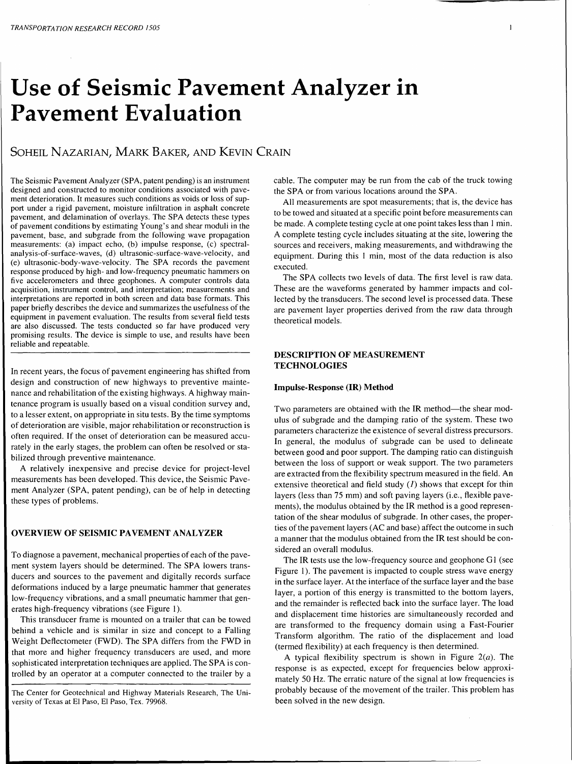# **Use of Seismic Pavement Analyzer in Pavement Evaluation**

# SOHEIL NAZARIAN, MARK BAKER, AND KEVIN CRAIN

The Seismic Pavement Analyzer (SPA, patent pending) is an instrument designed and constructed to monitor conditions associated with pavement deterioration. It measures such conditions as voids or loss of support under a rigid pavement, moisture infiltration in asphalt concrete pavement, and delamination of overlays. The SPA detects these types of pavement conditions by estimating Young's and shear moduli in the pavement, base, and subgrade from the following wave propagation measurements: (a) impact echo, (b) impulse response, (c) spectralanalysis-of-surface-waves, (d) ultrasonic-surface-wave-velocity, and (e) ultrasonic-body-wave-velocity. The SPA records the pavement response produced by high- and low-frequency pneumatic hammers on five accelerometers and three geophones. A computer controls data acquisition, instrument control, and interpretation; measurements and interpretations are reported in both screen and data base formats. This paper briefly describes the device and summarizes the usefulness of the equipment in pavement evaluation. The results from several field tests are also discussed. The tests conducted so far have produced very promising results. The device is simple to use, and results have been reliable and repeatable.

In recent years, the focus of pavement engineering has shifted from design and construction of new highways to preventive maintenance and rehabilitation of the existing highways. A highway maintenance program is usually based on a visual condition survey and, to a lesser extent, on appropriate in situ tests. By the time symptoms of deterioration are visible, major rehabilitation or reconstruction is often required. If the onset of deterioration can be measured accurately in the early stages, the problem can often be resolved or stabilized through preventive maintenance.

A relatively inexpensive and precise device for project-level measurements has been developed. This device, the Seismic Pavement Analyzer (SPA, patent pending), can be of help in detecting these types of problems.

## **OVERVIEW OF SEISMIC PAVEMENT ANALYZER**

To diagnose a pavement, mechanical properties of each of the pavement system layers should be determined. The SPA lowers transducers and sources to the pavement and digitally records surface deformations induced by a large pneumatic hammer that generates low-frequency vibrations, and a small pneumatic hammer that generates high-frequency vibrations (see Figure 1).

This transducer frame is mounted on a trailer that can be towed behind a vehicle and is similar in size and concept to a Falling Weight Deflectometer (FWD). The SPA differs from the FWD in that more and higher frequency transducers are used, and more sophisticated interpretation techniques are applied. The SPA is controlled by an operator at a computer connected to the trailer by a

The Center for Geotechnical and Highway Materials Research, The University of Texas at El Paso, El Paso, Tex. 79968.

cable. The computer may be run from the cab of the truck towing the SPA or from various locations around the SPA.

All measurements are spot measurements; that is, the device has to be towed and situated at a specific point before measurements can be made. A complete testing cycle at one point takes less than I min. A complete testing cycle includes situating at the site, lowering the sources and receivers, making measurements, and withdrawing the equipment. During this I min, most of the data reduction is also executed.

The SPA collects two levels of data. The first level is raw data. These are the waveforms generated by hammer impacts and collected by the transducers. The second level is processed data. These are pavement layer properties derived from the raw data through theoretical models.

## **DESCRIPTION OF MEASUREMENT TECHNOLOGIES**

#### **Impulse-Response (IR) Method**

Two parameters are obtained with the IR method-the shear modulus of subgrade and the damping ratio of the system. These two parameters characterize the existence of several distress precursors. In general, the modulus of subgrade can be used to delineate between good and poor support. The damping ratio can distinguish between the loss of support or weak support. The two parameters are extracted from the flexibility spectrum measured in the field. An extensive theoretical and field study  $(1)$  shows that except for thin layers (less than 75 mm) and soft paving layers (i.e., flexible pavements), the modulus obtained by the IR method is a good representation of the shear modulus of subgrade. In other cases, the properties of the pavement layers (AC and base) affect the outcome in such a manner that the modulus obtained from the IR test should be considered an overall modulus.

The IR tests use the low-frequency source and geophone GI (see Figure 1). The pavement is impacted to couple stress wave energy in the surface layer. At the interface of the surface layer and the base layer, a portion of this energy is transmitted to the bottom layers, and the remainder is reflected back into the surface layer. The load and displacement time histories are simultaneously recorded and are transformed to the frequency domain using a Fast-Fourier Transform algorithm. The ratio of the displacement and load (termed flexibility) at each frequency is then determined.

A typical flexibility spectrum is shown in Figure  $2(a)$ . The response is as expected, except for frequencies below approximately 50 Hz. The erratic nature of the signal at low frequencies is probably because of the movement of the trailer. This problem has been solved in the new design.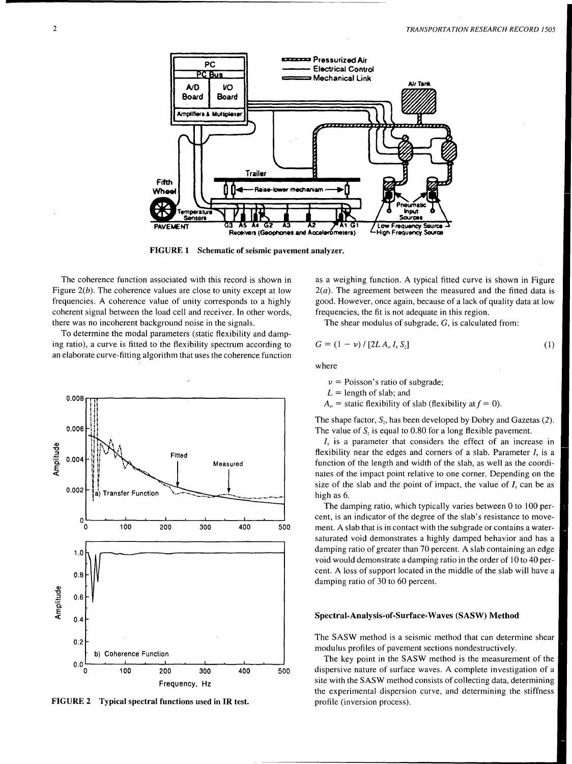

FIGURE 1 Schematic of seismic pavement analyzer.

The coherence function associated with this record is shown in Figure  $2(b)$ . The coherence values are close to unity except at low frequencies. A coherence value of unity corresponds to a highly coherent signal between the load cell and receiver. In other words, there was no incoherent background noise in the signals.

To determine the modal parameters (static flexibility and damping ratio), a curve is fitted to the flexibility spectrum according to an elaborate curve-fitting algorithm that uses the coherence function



FIGURE 2 Typical spectral functions used in IR test.

as a weighing function. A typical fitted curve is shown in Figure  $2(a)$ . The agreement between the measured and the fitted data is good. However, once again, because of a lack of quality data at low frequencies, the fit is not adequate in this region.

The shear modulus of subgrade,  $G$ , is calculated from:

$$
G = (1 - \nu) / [2LA_o I_s S_z]
$$
 (1)

where

 $\nu$  = Poisson's ratio of subgrade;

 $L =$  length of slab; and

 $A<sub>o</sub>$  = static flexibility of slab (flexibility at  $f = 0$ ).

The shape factor,  $S_z$ , has been developed by Dobry and Gazetas (2). The value of  $S<sub>z</sub>$  is equal to 0.80 for a long flexible pavement.

 $I<sub>s</sub>$  is a parameter that considers the effect of an increase in flexibility near the edges and corners of a slab. Parameter  $I_s$  is a function of the length and width of the slab, as well as the coordinates of the impact point relative to one corner. Depending on the size of the slab and the point of impact, the value of  $I_s$  can be as high as 6.

The damping ratio, which typically varies between 0 to 100 percent, is an indicator of the degree of the slab's resistance to movement. A slab that is in contact with the subgrade or contains a watersaturated void demonstrates a highly damped behavior and has a damping ratio of greater than 70 percent. A slab containing an edge void would demonstrate a damping ratio in the order of 10 to 40 percent. A loss of support located in the middle of the slab will have a damping ratio of 30 to 60 percent.

#### Spectral-Analysis-of-Surface-Waves (SASW) Method

The SASW method is a seismic method that can determine shear modulus profiles of pavement sections nondestructively.

The key point in the SASW method is the measurement of the dispersive nature of surface waves. A complete investigation of a site with the SASW method consists of collecting data, determining the experimental dispersion curve, and determining the stiffness profile (inversion process).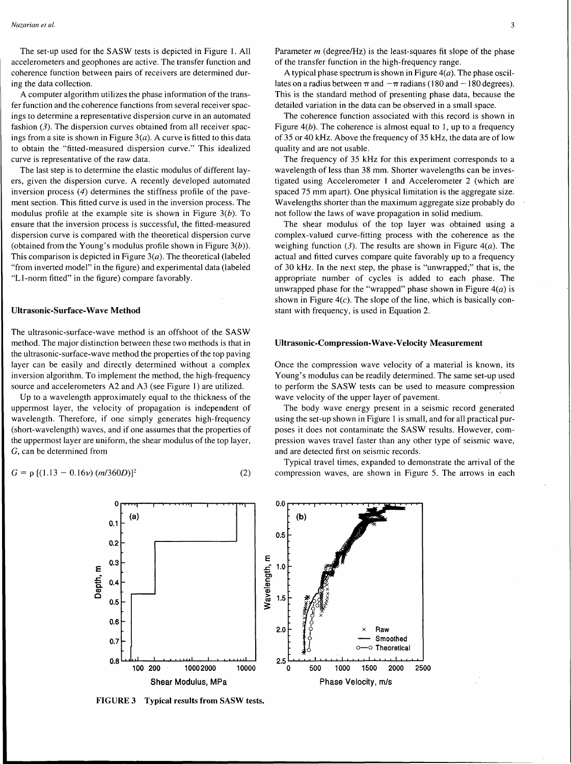The set-up used for the SASW tests is depicted in Figure I. All accelerometers and geophones are active. The transfer function and coherence function between pairs of receivers are determined during the data collection.

A computer algorithm utilizes the phase information of the transfer function and the coherence functions from several receiver spacings to determine a representative dispersion curve in an automated fashion (3). The dispersion curves obtained from all receiver spacings from a site is shown in Figure  $3(a)$ . A curve is fitted to this data to obtain the "fitted-measured dispersion curve." This idealized curve is representative of the raw data.

The last step is to determine the elastic modulus of different layers, given the dispersion curve. A recently developed automated inversion process (4) determines the stiffness profile of the pavement section. This fitted curve is used in the inversion process. The modulus profile at the example site is shown in Figure  $3(b)$ . To ensure that the inversion process is successful, the fitted-measured dispersion curve is compared with the theoretical dispersion curve (obtained from the Young's modulus profile shown in Figure  $3(b)$ ). This comparison is depicted in Figure  $3(a)$ . The theoretical (labeled "from inverted model" in the figure) and experimental data (labeled "LI-norm fitted" in the figure) compare favorably.

#### Ultrasonic-Surface-Wave Method

The ultrasonic-surface-wave method is an offshoot of the SASW method. The major distinction between these two methods is that in the ultrasonic-surface-wave method the properties of the top paving layer can be easily and directly determined without a complex inversion algorithm. To implement the method, the high-frequency source and accelerometers A2 and A3 (see Figure 1) are utilized.

Up to a wavelength approximately equal to the thickness of the uppermost layer, the velocity of propagation is independent of wavelength. Therefore, if one simply generates high-frequency (short-wavelength) waves, and if one assumes that the properties of the uppermost layer are uniform, the shear modulus of the top layer, G, can be determined from

$$
G = \rho [(1.13 - 0.16\nu) (m/360D)]^2
$$
 (2)

Parameter *m* (degree/Hz) is the least-squares fit slope of the phase of the transfer function in the high-frequency range.

A typical phase spectrum is shown in Figure  $4(a)$ . The phase oscillates on a radius between  $\pi$  and  $-\pi$  radians (180 and  $-180$  degrees). This is the standard method of presenting phase data, because the detailed variation in the data can be observed in a small space.

The coherence function associated with this record is shown in Figure  $4(b)$ . The coherence is almost equal to 1, up to a frequency of 35 or 40 kHz. Above the frequency of 35 kHz, the data are of low quality and are not usable.

The frequency of 35 kHz for this experiment corresponds to a wavelength of less than 38 mm. Shorter wavelengths can be investigated using Accelerometer 1 and Accelerometer 2 (which are spaced 75 mm apart). One physical limitation is the aggregate size. Wavelengths shorter than the maximum aggregate size probably do not follow the laws of wave propagation in solid medium.

The shear modulus of the top layer was obtained using a complex-valued curve-fitting process with the coherence as the weighing function (3). The results are shown in Figure 4(*a*). The actual and fitted curves compare quite favorably up to a frequency of 30 kHz. In the next step, the phase is "unwrapped;" that is, the appropriate number of cycles is added to each phase. The unwrapped phase for the "wrapped" phase shown in Figure  $4(a)$  is shown in Figure  $4(c)$ . The slope of the line, which is basically constant with frequency, is used in Equation 2.

#### Ultrasonic-Compression-Wave-Velocity Measurement

Once the compression wave velocity of a material is known, its Young's modulus can be readily determined. The same set-up used to perform the SASW tests can be used to measure compression wave velocity of the upper layer of pavement.

The body wave energy present in a seismic record generated using the set-up shown in Figure 1 is small, and for all practical purposes it does not contaminate the SASW results. However, compression waves travel faster than any other type of seismic wave, and are detected first on seismic records.

Typical travel times, expanded to demonstrate the arrival of the compression waves, are shown in Figure 5. The arrows in each



FIGURE 3 Typical results from SASW tests.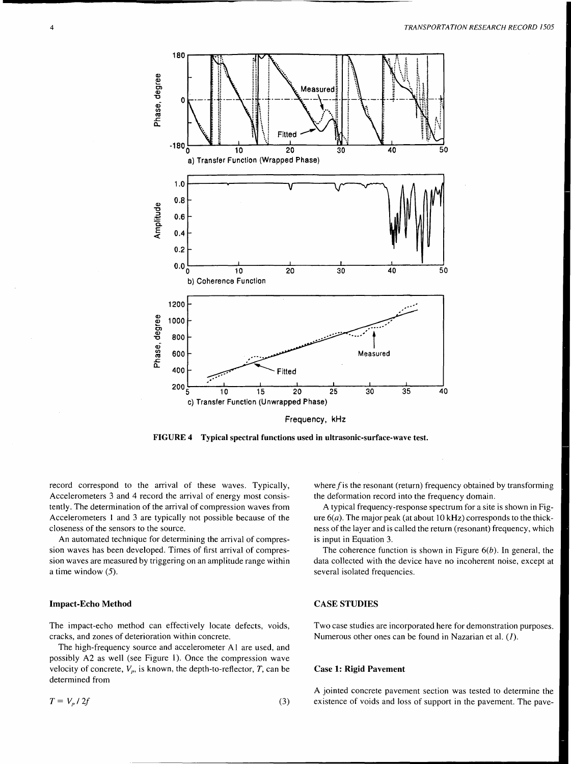

FIGURE 4 Typical spectral functions used in ultrasonic-surface-wave test.

record correspond to the arrival of these waves. Typically, Accelerometers 3 and 4 record the arrival of energy most consistently. The determination of the arrival of compression waves from Accelerometers 1 and 3 are typically not possible because of the closeness of the sensors to the source.

An automated technique for determining the arrival of compression waves has been developed. Times of first arrival of compression waves are measured by triggering on an amplitude range within a time window (5).

### Impact-Echo Method

The impact-echo method can effectively locate defects, voids, cracks, and zones of deterioration within concrete.

The high-frequency source and accelerometer Al are used, and possibly A2 as well (see Figure 1). Once the compression wave velocity of concrete,  $V_p$ , is known, the depth-to-reflector,  $T$ , can be determined from

$$
T = V_p / 2f \tag{3}
$$

where f is the resonant (return) frequency obtained by transforming the deformation record into the frequency domain.

A typical frequency-response spectrum for a site is shown in Figure  $6(a)$ . The major peak (at about 10 kHz) corresponds to the thickness of the layer and is called the return (resonant) frequency, which is input in Equation 3.

The coherence function is shown in Figure  $6(b)$ . In general, the data collected with the device have no incoherent noise, except at several isolated frequencies.

### CASE STUDIES

Two case studies are incorporated here for demonstration purposes. Numerous other ones can be found in Nazarian et al. (J).

#### Case 1: Rigid Pavement

A jointed concrete pavement section was tested to determine the existence of voids and loss of support in the pavement. The pave-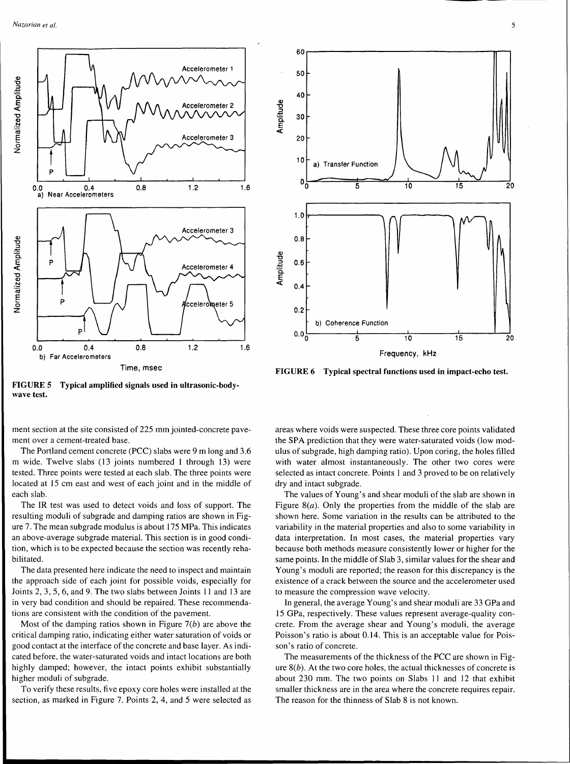



Frequency, kHz

FIGURE 5 Typical amplified signals used in ultrasonic-bodywave test.

ment section at the site consisted of 225 mm jointed-concrete pavement over a cement-treated base.

The Portland cement concrete (PCC) slabs were 9 m long and 3.6 m wide. Twelve slabs (13 joints numbered 1 through 13) were tested. Three points were tested at each slab. The three points were located at 15 cm east and west of each joint and in the middle of each slab.

The IR test was used to detect voids and loss of support. The resulting moduli of subgrade and damping ratios are shown in Figure 7. The mean subgrade modulus is about I 75 MPa. This indicates an above-average subgrade material. This section is in good condition, which is to be expected because the section was recently rehabilitated.

The data presented here indicate the need to inspect and maintain the approach side of each joint for possible voids, especially for Joints 2, 3, 5, 6, and 9. The two slabs between Joints 11 and 13 are in very bad condition and should be repaired. These recommendations are consistent with the condition of the pavement.

Most of the damping ratios shown in Figure  $7(b)$  are above the critical damping ratio, indicating either water saturation of voids or good contact at the interface of the concrete and base layer. As indicated before, the water-saturated voids and intact locations are both highly damped; however, the intact points exhibit substantially higher moduli of subgrade.

To verify these results, five epoxy core holes were installed at the section, as marked in Figure 7. Points 2, 4, and 5 were selected as

FIGURE 6 Typical spectral functions used in impact-echo test.

areas where voids were suspected. These three core points validated the SPA prediction that they were water-saturated voids (low modulus of subgrade, high damping ratio). Upon coring, the holes filled with water almost instantaneously. The other two cores were selected as intact concrete. Points I and 3 proved to be on relatively dry and intact subgrade.

The values of Young's and shear moduli of the slab are shown in Figure 8( $a$ ). Only the properties from the middle of the slab are shown here. Some variation in the results can be attributed to the variability in the material properties and also to some variability in data interpretation. In most cases, the material properties vary because both methods measure consistently lower or higher for the same points. In the middle of Slab 3, similar values for the shear and Young's moduli are reported; the reason for this discrepancy is the existence of a crack between the source and the accelerometer used to measure the compression wave velocity.

In general, the average Young's and shear moduli are 33 GPa and I5 GPa, respectively. These values represent average-quality concrete. From the average shear and Young's moduli, the average Poisson's ratio is about 0.14. This is an acceptable value for Poisson's ratio of concrete.

The measurements of the thickness of the PCC are shown in Figure  $8(b)$ . At the two core holes, the actual thicknesses of concrete is about 230 mm. The two points on Slabs 11 and 12 that exhibit smaller thickness are in the area where the concrete requires repair. The reason for the thinness of Slab 8 is not known.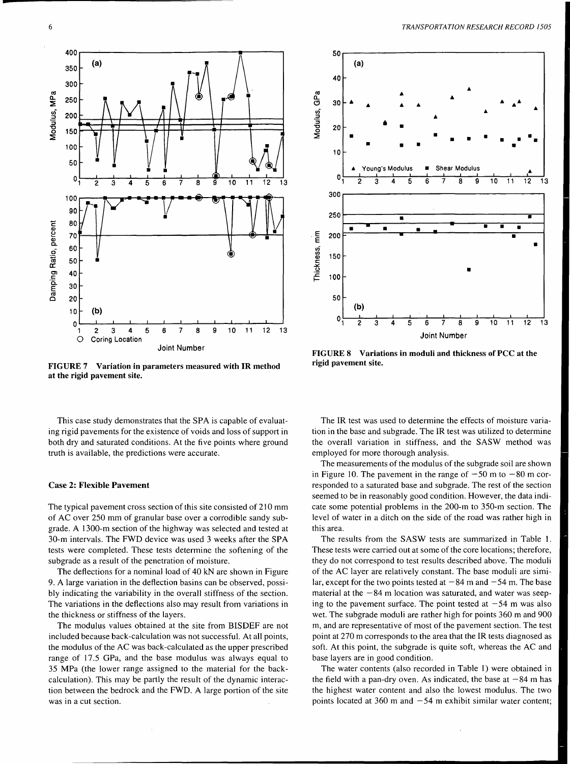

FIGURE 7 Variation in parameters measured with IR method at the rigid pavement site.



FIGURE 8 Variations in moduli and thickness of PCC at the rigid pavement site.

This case study demonstrates that the SPA is capable of evaluating rigid pavements for the existence of voids and loss of support in both dry and saturated conditions. At the five points where ground truth is available, the predictions were accurate.

#### Case 2: Flexible Pavement

The typical pavement cross section of this site consisted of 210 mm of AC over 250 mm of granular base over a corrodible sandy subgrade. A 1300-m section of the highway was selected and tested at 30-m intervals. The FWD device was used 3 weeks after the SPA tests were completed. These tests determine the softening of the subgrade as a result of the penetration of moisture.

The deflections for a nominal load of 40 kN are shown in Figure 9. A large variation in the deflection basins can be observed, possibly indicating the variability in the overall stiffness of the section. The variations in the deflections also may result from variations in the thickness or stiffness of the layers.

The modulus values obtained at the site from BISDEF are not included because back-calculation was not successful. At all points, the modulus of the AC was back-calculated as the upper prescribed range of 17 .5 GPa, and the base modulus was always equal to 35 MPa (the lower range assigned to the material for the backcalculation). This may be partly the result of the dynamic interaction between the bedrock and the FWD. A large portion of the site was in a cut section.

The IR test was used to determine the effects of moisture variation in the base and subgrade. The IR test was utilized to determine the overall variation in stiffness, and the SASW method was employed for more thorough analysis.

The measurements of the modulus of the subgrade soil are shown in Figure 10. The pavement in the range of  $-50$  m to  $-80$  m corresponded to a saturated base and subgrade. The rest of the section seemed to be in reasonably good condition. However, the data indicate some potential problems in the 200-m to 350-m section. The level of water in a ditch on the side of the road was rather high in this area.

The results from the SASW tests are summarized in Table I. These tests were carried out at some of the core locations; therefore, they do not correspond to test results described above. The moduli of the AC layer are relatively constant. The base moduli are similar, except for the two points tested at  $-84$  m and  $-54$  m. The base material at the  $-84$  m location was saturated, and water was seeping to the pavement surface. The point tested at  $-54$  m was also wet. The subgrade moduli are rather high for points 360 m and 900 m, and are representative of most of the pavement section. The test point at 270 m corresponds to the area that the IR tests diagnosed as soft. At this point, the subgrade is quite soft, whereas the AC and base layers are in good condition.

The water contents (also recorded in Table 1) were obtained in the field with a pan-dry oven. As indicated, the base at  $-84$  m has the highest water content and also the lowest modulus. The two points located at 360 m and  $-54$  m exhibit similar water content;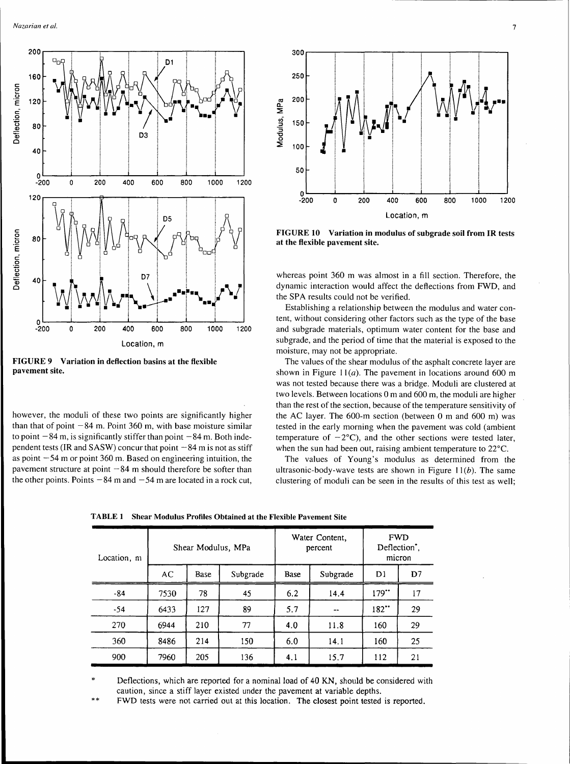

FIGURE 9 Variation in deflection basins at the flexible pavement site.

however, the moduli of these two points are significantly higher than that of point  $-84$  m. Point 360 m, with base moisture similar to point  $-84$  m, is significantly stiffer than point  $-84$  m. Both independent tests (IR and SASW) concur that point  $-84$  m is not as stiff as point  $-54$  m or point 360 m. Based on engineering intuition, the pavement structure at point  $-84$  m should therefore be softer than the other points. Points  $-84$  m and  $-54$  m are located in a rock cut,



FIGURE 10 Variation in modulus of subgrade soil from IR tests at the flexible pavement site.

whereas point 360 m was almost in a fill section. Therefore, the dynamic interaction would affect the deflections from FWD, and the SPA results could not be verified.

Establishing a relationship between the modulus and water content, without considering other factors such as the type of the base and subgrade materials, optimum water content for the base and subgrade, and the period of time that the material is exposed to the moisture, may not be appropriate.

The values of the shear modulus of the asphalt concrete layer are shown in Figure 11( $a$ ). The pavement in locations around 600 m was not tested because there was a bridge. Moduli are clustered at two levels. Between locations 0 m and 600 m, the moduli are higher than the rest of the section, because of the temperature sensitivity of the AC layer. The 600-m section (between 0 m and 600 m) was tested in the early morning when the pavement was cold (ambient temperature of  $-2^{\circ}$ C), and the other sections were tested later, when the sun had been out, raising ambient temperature to 22°C.

The values of Young's modulus as determined from the ultrasonic-body-wave tests are shown in Figure  $11(b)$ . The same clustering of moduli can be seen in the results of this test as well;

| Location, m | Shear Modulus, MPa |      |          | Water Content.<br>percent |          | <b>FWD</b><br>Deflection <sup>*</sup> .<br>micron |    |
|-------------|--------------------|------|----------|---------------------------|----------|---------------------------------------------------|----|
|             | AC                 | Base | Subgrade | Base                      | Subgrade | D1                                                | D7 |
| $-84$       | 7530               | 78   | 45       | 6.2                       | 14.4     | 179"                                              | 17 |
| $-54$       | 6433               | 127  | 89       | 5.7                       | $-$      | 182"                                              | 29 |
| 270         | 6944               | 210  | 77       | 4.0                       | 11.8     | 160                                               | 29 |
| 360         | 8486               | 214  | 150      | 6.0                       | 14.1     | 160                                               | 25 |
| 900         | 7960               | 205  | 136      | 4.1                       | 15.7     | 112                                               | 21 |

TABLE 1 Shear Modulus Profiles Obtained at the Flexible Pavement Site

\* Deflections, which are reported for a nominal load of 40 KN, should be considered with caution, since a stiff layer existed under the pavement at variable depths.

\*\* FWD tests were not carried out at this location. The closest point tested is reported.